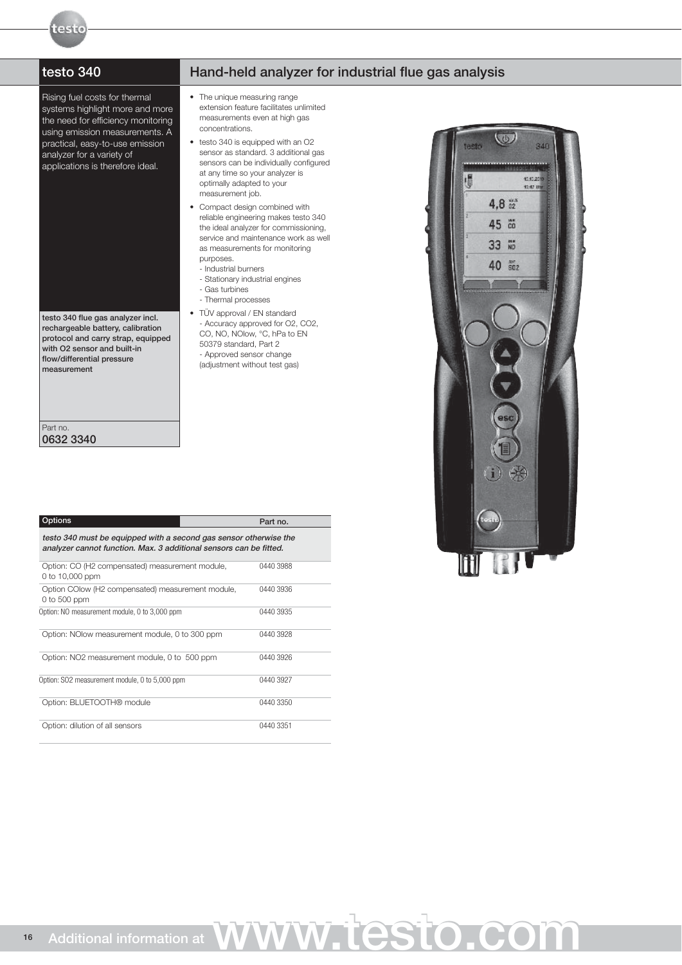testo

Rising fuel costs for thermal systems highlight more and more the need for efficiency monitoring using emission measurements. A practical, easy-to-use emission analyzer for a variety of applications is therefore ideal.

testo 340 flue gas analyzer incl. rechargeable battery, calibration protocol and carry strap, equipped with O2 sensor and built-in flow/differential pressure measurement

## testo 340 Hand-held analyzer for industrial flue gas analysis

- The unique measuring range extension feature facilitates unlimited measurements even at high gas concentrations.
- testo 340 is equipped with an O2 sensor as standard. 3 additional gas sensors can be individually configured at any time so your analyzer is optimally adapted to your measurement job.
- Compact design combined with reliable engineering makes testo 340 the ideal analyzer for commissioning, service and maintenance work as well as measurements for monitoring purposes.
	- Industrial burners
	- Stationary industrial engines
	- Gas turbines
	- Thermal processes
- TÜV approval / EN standard - Accuracy approved for O2, CO2, CO, NO, NOlow, °C, hPa to EN 50379 standard, Part 2 - Approved sensor change (adjustment without test gas)

| Options                                                                                                                                 | Part no.  |
|-----------------------------------------------------------------------------------------------------------------------------------------|-----------|
| testo 340 must be equipped with a second gas sensor otherwise the<br>analyzer cannot function. Max. 3 additional sensors can be fitted. |           |
| Option: CO (H2 compensated) measurement module,<br>0 to 10,000 ppm                                                                      | 0440 3988 |
| Option COlow (H2 compensated) measurement module,<br>0 to 500 ppm                                                                       | 0440 3936 |
| Option: NO measurement module, 0 to 3,000 ppm                                                                                           | 0440 3935 |
| Option: NO low measurement module, 0 to 300 ppm                                                                                         | 0440 3928 |
| Option: NO2 measurement module, 0 to 500 ppm                                                                                            | 0440 3926 |
| Option: SO2 measurement module, 0 to 5,000 ppm                                                                                          | 0440 3927 |
| Option: BLUETOOTH® module                                                                                                               | 0440 3350 |
| Option: dilution of all sensors                                                                                                         | 0440 3351 |

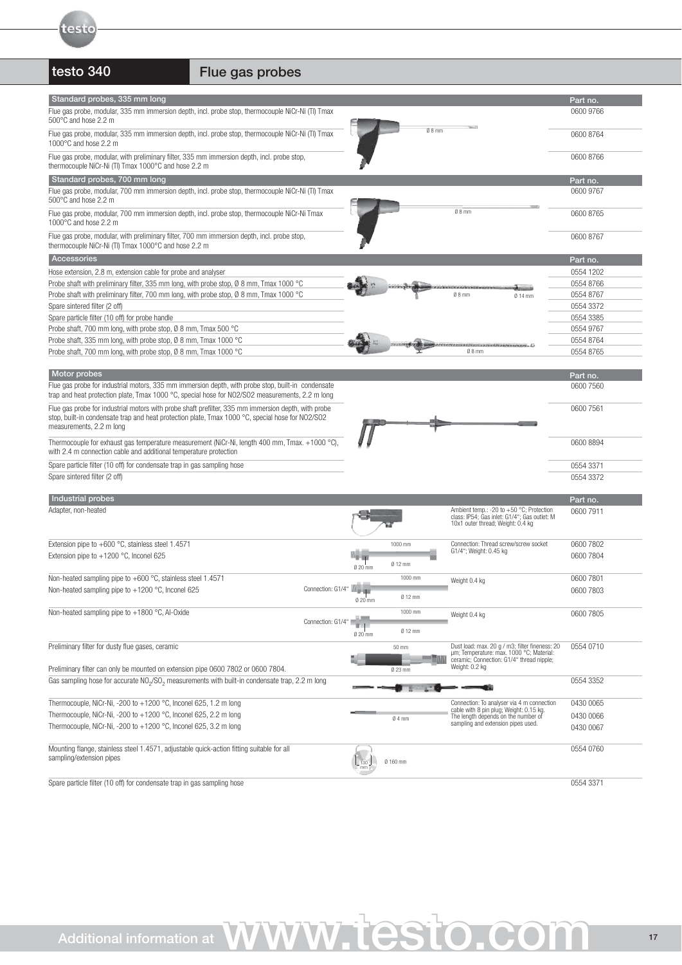

# testo 340 Flue gas probes

| Standard probes, 335 mm long                                                                                                                                                                                                           |                   |          |          |                                                                                            | Part no.              |
|----------------------------------------------------------------------------------------------------------------------------------------------------------------------------------------------------------------------------------------|-------------------|----------|----------|--------------------------------------------------------------------------------------------|-----------------------|
| Flue gas probe, modular, 335 mm immersion depth, incl. probe stop, thermocouple NiCr-Ni (TI) Tmax<br>500°C and hose 2.2 m                                                                                                              |                   |          |          |                                                                                            | 0600 9766             |
| Flue gas probe, modular, 335 mm immersion depth, incl. probe stop, thermocouple NiCr-Ni (TI) Tmax<br>1000°C and hose 2.2 m                                                                                                             |                   |          | $08$ mm  |                                                                                            | 0600 8764             |
| Flue gas probe, modular, with preliminary filter, 335 mm immersion depth, incl. probe stop,<br>thermocouple NiCr-Ni (TI) Tmax 1000°C and hose 2.2 m                                                                                    |                   |          |          |                                                                                            | 0600 8766             |
| Standard probes, 700 mm long                                                                                                                                                                                                           |                   |          |          |                                                                                            | Part no.              |
| Flue gas probe, modular, 700 mm immersion depth, incl. probe stop, thermocouple NiCr-Ni (TI) Tmax<br>500°C and hose 2.2 m                                                                                                              |                   |          |          |                                                                                            | 0600 9767             |
| Flue gas probe, modular, 700 mm immersion depth, incl. probe stop, thermocouple NiCr-Ni Tmax<br>1000°C and hose 2.2 m                                                                                                                  |                   |          |          | $08$ mm                                                                                    | 0600 8765             |
| Flue gas probe, modular, with preliminary filter, 700 mm immersion depth, incl. probe stop,<br>thermocouple NiCr-Ni (TI) Tmax 1000°C and hose 2.2 m                                                                                    |                   |          |          |                                                                                            | 0600 8767             |
| Accessories                                                                                                                                                                                                                            |                   |          |          |                                                                                            | Part no.              |
| Hose extension, 2.8 m, extension cable for probe and analyser                                                                                                                                                                          |                   |          |          |                                                                                            | 0554 1202             |
|                                                                                                                                                                                                                                        |                   |          |          |                                                                                            |                       |
| Probe shaft with preliminary filter, 335 mm long, with probe stop, $\emptyset$ 8 mm, Tmax 1000 °C                                                                                                                                      |                   |          |          |                                                                                            | 0554 8766             |
| Probe shaft with preliminary filter, 700 mm long, with probe stop, $\emptyset$ 8 mm, Tmax 1000 °C                                                                                                                                      |                   |          |          | $08$ mm<br>$014$ mm                                                                        | 0554 8767             |
| Spare sintered filter (2 off)                                                                                                                                                                                                          |                   |          |          |                                                                                            | 0554 3372             |
| Spare particle filter (10 off) for probe handle                                                                                                                                                                                        |                   |          |          |                                                                                            | 0554 3385             |
| Probe shaft, 700 mm long, with probe stop, Ø 8 mm, Tmax 500 °C                                                                                                                                                                         |                   |          |          |                                                                                            | 0554 9767             |
| Probe shaft, 335 mm long, with probe stop, Ø 8 mm, Tmax 1000 °C                                                                                                                                                                        |                   |          |          |                                                                                            | 0554 8764             |
|                                                                                                                                                                                                                                        |                   |          |          | $08$ mm                                                                                    |                       |
| Probe shaft, 700 mm long, with probe stop, Ø 8 mm, Tmax 1000 °C                                                                                                                                                                        |                   |          |          |                                                                                            | 0554 8765             |
| Motor probes                                                                                                                                                                                                                           |                   |          |          |                                                                                            |                       |
| Flue gas probe for industrial motors, 335 mm immersion depth, with probe stop, built-in condensate<br>trap and heat protection plate, Tmax 1000 °C, special hose for NO2/SO2 measurements, 2.2 m long                                  |                   |          |          |                                                                                            | Part no.<br>0600 7560 |
|                                                                                                                                                                                                                                        |                   |          |          |                                                                                            |                       |
| Flue gas probe for industrial motors with probe shaft prefilter, 335 mm immersion depth, with probe<br>stop, built-in condensate trap and heat protection plate, $T$ max 1000 °C, special hose for NO2/SO2<br>measurements, 2.2 m long |                   |          |          |                                                                                            | 0600 7561             |
| Thermocouple for exhaust gas temperature measurement (NiCr-Ni, length 400 mm, Tmax. +1000 °C),<br>with 2.4 m connection cable and additional temperature protection                                                                    |                   |          |          |                                                                                            | 0600 8894             |
| Spare particle filter (10 off) for condensate trap in gas sampling hose                                                                                                                                                                |                   |          |          |                                                                                            | 0554 3371             |
| Spare sintered filter (2 off)                                                                                                                                                                                                          |                   |          |          |                                                                                            | 0554 3372             |
|                                                                                                                                                                                                                                        |                   |          |          |                                                                                            |                       |
| Industrial probes                                                                                                                                                                                                                      |                   |          |          |                                                                                            | Part no.              |
| Adapter, non-heated                                                                                                                                                                                                                    |                   |          |          | Ambient temp.: -20 to +50 °C; Protection                                                   | 0600 7911             |
|                                                                                                                                                                                                                                        |                   |          |          | class: IP54; Gas inlet: G1/4"; Gas outlet: M<br>10x1 outer thread; Weight: 0.4 kg          |                       |
| Extension pipe to $+600$ °C, stainless steel 1.4571                                                                                                                                                                                    |                   |          | 1000 mm  | Connection: Thread screw/screw socket                                                      | 0600 7802             |
| Extension pipe to $+1200$ °C, Inconel 625                                                                                                                                                                                              |                   |          |          | G1/4"; Weight: 0.45 kg                                                                     | 0600 7804             |
|                                                                                                                                                                                                                                        |                   | 0 20 mm  | $012$ mm |                                                                                            |                       |
| Non-heated sampling pipe to $+600$ °C, stainless steel 1.4571                                                                                                                                                                          |                   |          | 1000 mm  |                                                                                            | 0600 7801             |
|                                                                                                                                                                                                                                        | Connection: G1/4" |          |          | Weight 0.4 kg                                                                              |                       |
| Non-heated sampling pipe to $+1200$ °C, Inconel 625                                                                                                                                                                                    |                   |          | 0 12 mm  |                                                                                            | 0600 7803             |
| Non-heated sampling pipe to $+1800$ °C, Al-Oxide                                                                                                                                                                                       |                   |          | 1000 mm  |                                                                                            |                       |
|                                                                                                                                                                                                                                        | Connection: G1/4" |          | 0 12 mm  | Weight 0.4 kg                                                                              | 0600 7805             |
|                                                                                                                                                                                                                                        |                   | $020$ mm |          |                                                                                            |                       |
| Preliminary filter for dusty flue gases, ceramic                                                                                                                                                                                       |                   |          | 50 mm    | Dust load: max. 20 g / m3; filter fineness: 20<br>um; Temperature: max. 1000 °C; Material: | 0554 0710             |
|                                                                                                                                                                                                                                        |                   |          |          | ceramic; Connection: G1/4" thread nipple;                                                  |                       |
| Preliminary filter can only be mounted on extension pipe 0600 7802 or 0600 7804.                                                                                                                                                       |                   |          | 0 23 mm  | Weight: 0.2 kg                                                                             |                       |
| Gas sampling hose for accurate NO <sub>2</sub> /SO <sub>2</sub> measurements with built-in condensate trap, 2.2 m long                                                                                                                 |                   |          |          |                                                                                            | 0554 3352             |
|                                                                                                                                                                                                                                        |                   |          |          |                                                                                            |                       |
| Thermocouple, NiCr-Ni, -200 to +1200 °C, Inconel 625, 1.2 m long                                                                                                                                                                       |                   |          |          | Connection: To analyser via 4 m connection                                                 | 0430 0065             |
|                                                                                                                                                                                                                                        |                   |          |          | cable with 8 pin plug; Weight: 0.15 kg.                                                    |                       |
| Thermocouple, NiCr-Ni, -200 to +1200 °C, Inconel 625, 2.2 m long                                                                                                                                                                       |                   |          | $04$ mm  | The length depends on the number of<br>sampling and extension pipes used.                  | 0430 0066             |
| Thermocouple, NiCr-Ni, -200 to +1200 °C, Inconel 625, 3.2 m long                                                                                                                                                                       |                   |          |          |                                                                                            | 0430 0067             |
|                                                                                                                                                                                                                                        |                   |          |          |                                                                                            |                       |
| Mounting flange, stainless steel 1.4571, adjustable quick-action fitting suitable for all<br>sampling/extension pipes                                                                                                                  |                   |          | Ø 160 mm |                                                                                            | 0554 0760             |
| Spare particle filter (10 off) for condensate trap in gas sampling hose                                                                                                                                                                |                   |          |          |                                                                                            | 0554 3371             |
|                                                                                                                                                                                                                                        |                   |          |          |                                                                                            |                       |

www.testo.com www.testo.com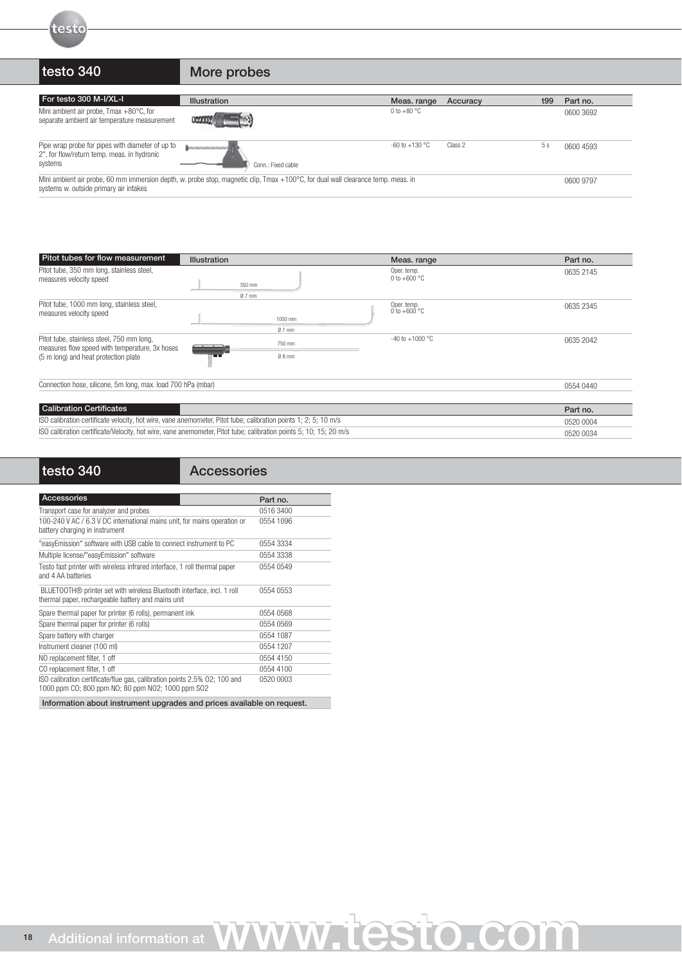

# testo 340 More probes

| For testo 300 M-I/XL-I                                                                                                                                                                  | <b>Illustration</b>                                   | Meas. range        | Accuracy | t99 | Part no.  |
|-----------------------------------------------------------------------------------------------------------------------------------------------------------------------------------------|-------------------------------------------------------|--------------------|----------|-----|-----------|
| Mini ambient air probe, $T$ max $+80^{\circ}$ C, for<br>separate ambient air temperature measurement                                                                                    |                                                       | 0 to $+80$ °C      |          |     | 0600 3692 |
| Pipe wrap probe for pipes with diameter of up to<br>2", for flow/return temp. meas. in hydronic<br>systems                                                                              | <b><i>PERSONAL PROPERTY</i></b><br>Conn.: Fixed cable | $-60$ to $+130$ °C | Class 2  | 5 s | 0600 4593 |
| Mini ambient air probe, 60 mm immersion depth, w. probe stop, magnetic clip, Tmax +100°C, for dual wall clearance temp. meas. in<br>0600 9797<br>systems w. outside primary air intakes |                                                       |                    |          |     |           |

| Pitot tubes for flow measurement                                                                                                    | <b>Illustration</b>                                                                                               | Meas. range                           | Part no.  |
|-------------------------------------------------------------------------------------------------------------------------------------|-------------------------------------------------------------------------------------------------------------------|---------------------------------------|-----------|
| Pitot tube, 350 mm long, stainless steel,<br>measures velocity speed                                                                | 350 mm<br>$0.7$ mm                                                                                                | Oper. temp.<br>0 to +600 $^{\circ}$ C | 0635 2145 |
| Pitot tube, 1000 mm long, stainless steel,<br>measures velocity speed                                                               | 1000 mm<br>$0.7$ mm                                                                                               | Oper. temp.<br>0 to $+600$ °C         | 0635 2345 |
| Pitot tube, stainless steel, 750 mm long,<br>measures flow speed with temperature, 3x hoses<br>(5 m long) and heat protection plate | 750 mm<br>$08$ mm                                                                                                 | -40 to $+1000$ °C                     | 0635 2042 |
| Connection hose, silicone, 5m long, max. load 700 hPa (mbar)                                                                        |                                                                                                                   |                                       | 0554 0440 |
| <b>Calibration Certificates</b>                                                                                                     |                                                                                                                   |                                       | Part no.  |
|                                                                                                                                     | ISO calibration certificate velocity, hot wire, vane anemometer, Pitot tube; calibration points 1; 2; 5; 10 m/s   |                                       | 0520 0004 |
|                                                                                                                                     | ISO calibration certificate/Velocity, hot wire, vane anemometer, Pitot tube; calibration points 5; 10; 15; 20 m/s |                                       | 0520 0034 |

18

## testo 340 Accessories

| Accessories                                                                                                                    | Part no.  |
|--------------------------------------------------------------------------------------------------------------------------------|-----------|
| Transport case for analyzer and probes                                                                                         | 0516 3400 |
| 100-240 V AC / 6.3 V DC international mains unit, for mains operation or<br>battery charging in instrument                     | 0554 1096 |
| "easyEmission" software with USB cable to connect instrument to PC                                                             | 0554 3334 |
| Multiple license/"easyEmission" software                                                                                       | 0554 3338 |
| Testo fast printer with wireless infrared interface, 1 roll thermal paper<br>and 4 AA batteries                                | 0554 0549 |
| BLUETOOTH® printer set with wireless Bluetooth interface, incl. 1 roll<br>thermal paper, rechargeable battery and mains unit   | 0554 0553 |
| Spare thermal paper for printer (6 rolls), permanent ink                                                                       | 0554 0568 |
| Spare thermal paper for printer (6 rolls)                                                                                      | 0554 0569 |
| Spare battery with charger                                                                                                     | 0554 1087 |
| Instrument cleaner (100 ml)                                                                                                    | 0554 1207 |
| NO replacement filter, 1 off                                                                                                   | 0554 4150 |
| CO replacement filter, 1 off                                                                                                   | 0554 4100 |
| ISO calibration certificate/flue gas, calibration points 2.5% 02; 100 and<br>1000 ppm CO; 800 ppm NO; 80 ppm NO2; 1000 ppm SO2 | 0520 0003 |
|                                                                                                                                |           |

Information about instrument upgrades and prices available on request.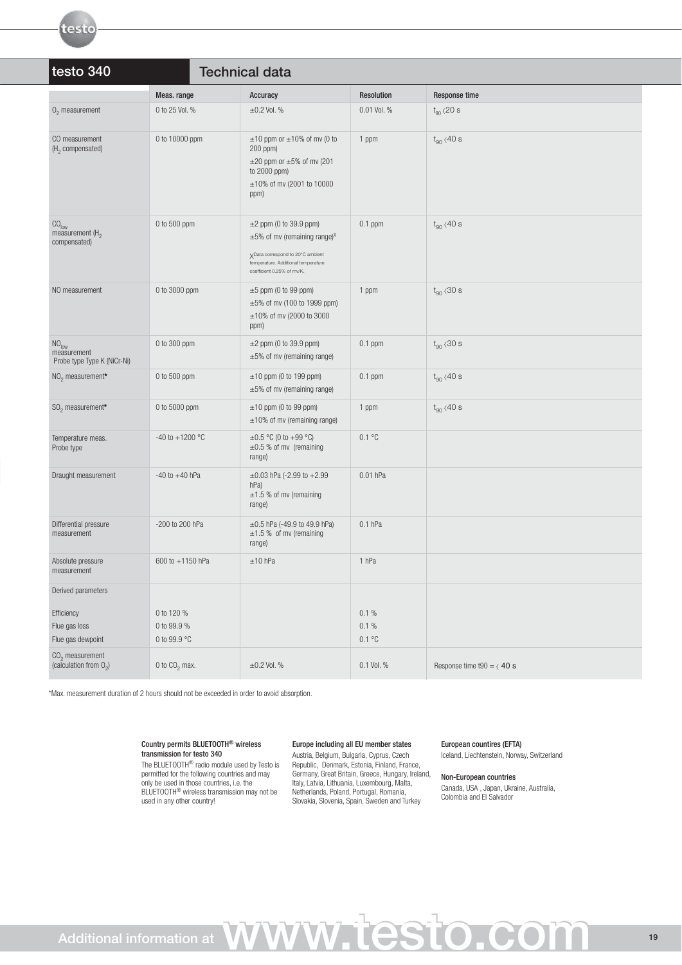| testo 340<br><b>Technical data</b>                               |                     |                                                                                                                                                                                        |             |                                        |
|------------------------------------------------------------------|---------------------|----------------------------------------------------------------------------------------------------------------------------------------------------------------------------------------|-------------|----------------------------------------|
|                                                                  | Meas. range         | Accuracy                                                                                                                                                                               | Resolution  | Response time                          |
| $02$ measurement                                                 | 0 to 25 Vol. %      | $\pm 0.2$ Vol. %                                                                                                                                                                       | 0.01 Vol. % | $t_{90}$ <20 s                         |
| CO measurement<br>(H <sub>2</sub> compensated)                   | 0 to 10000 ppm      | $\pm 10$ ppm or $\pm 10\%$ of mv (0 to<br>$200$ ppm $)$<br>$\pm 20$ ppm or $\pm 5\%$ of mv (201<br>to 2000 ppm)<br>±10% of mv (2001 to 10000<br>ppm)                                   | 1 ppm       | $t_{90}$ <40 s                         |
| $\mathrm{CO}_\mathrm{low}$<br>measurement $(H2)$<br>compensated) | 0 to 500 ppm        | $\pm 2$ ppm (0 to 39.9 ppm)<br>$\pm 5\%$ of mv (remaining range) <sup>X</sup><br>XData correspond to 20°C ambient<br>temperature. Additional temperature<br>coefficient 0.25% of mv/K. | $0.1$ ppm   | $t_{90}$ <40 s                         |
| NO measurement                                                   | 0 to 3000 ppm       | $\pm 5$ ppm (0 to 99 ppm)<br>$\pm 5\%$ of mv (100 to 1999 ppm)<br>±10% of mv (2000 to 3000<br>ppm)                                                                                     | 1 ppm       | $t_{90}$ < 30 s                        |
| NO <sub>low</sub><br>measurement<br>Probe type Type K (NiCr-Ni)  | 0 to 300 ppm        | $\pm 2$ ppm (0 to 39.9 ppm)<br>$\pm 5\%$ of mv (remaining range)                                                                                                                       | $0.1$ ppm   | $t_{90}$ < 30 s                        |
| NO <sub>2</sub> measurement*                                     | 0 to 500 ppm        | $\pm 10$ ppm (0 to 199 ppm)<br>$\pm 5\%$ of mv (remaining range)                                                                                                                       | $0.1$ ppm   | $t_{90}$ <40 s                         |
| $SO2$ measurement*                                               | 0 to 5000 ppm       | $\pm 10$ ppm (0 to 99 ppm)<br>$\pm 10\%$ of mv (remaining range)                                                                                                                       | 1 ppm       | $t_{\text{on}}$ $\langle 40 \text{ s}$ |
| Temperature meas.<br>Probe type                                  | $-40$ to $+1200$ °C | $\pm 0.5$ °C (0 to +99 °C)<br>$\pm 0.5$ % of mv (remaining<br>range)                                                                                                                   | 0.1 °C      |                                        |
| Draught measurement                                              | $-40$ to $+40$ hPa  | $\pm 0.03$ hPa (-2.99 to +2.99<br>hPa)<br>$\pm 1.5$ % of mv (remaining<br>range)                                                                                                       | 0.01 hPa    |                                        |
| Differential pressure<br>measurement                             | -200 to 200 hPa     | $\pm 0.5$ hPa (-49.9 to 49.9 hPa)<br>$\pm 1.5$ % of mv (remaining<br>range)                                                                                                            | $0.1$ hPa   |                                        |
| Absolute pressure<br>measurement                                 | 600 to +1150 hPa    | $±10$ hPa                                                                                                                                                                              | 1 hPa       |                                        |
| Derived parameters                                               |                     |                                                                                                                                                                                        |             |                                        |

\*Max. measurement duration of 2 hours should not be exceeded in order to avoid absorption.

0 to  $CO<sub>2</sub>$  max.

CO<sub>2</sub> measurement

testo

### Country permits BLUETOOTH® wireless transmission for testo 340

The BLUETOOTH® radio module used by Testo is permitted for the following countries and may only be used in those countries, i.e. the BLUETOOTH<sup>®</sup> wireless transmission may not be used in any other country!

Efficiency  $0.1\%$  0.1  $0.1\%$ Flue gas loss 0.1 % 0.1 % 0.1 % 0.1 % 0.1 % 0.1 % 0.1 % 0.1 % 0.1 % 0.1 % 0.1 % 0.1 % 0.1 % 0.1 % 0.1 % 0.1 % 0.1 % 0.1 % 0.1 % 0.1 % 0.1 % 0.1 % 0.1 % 0.1 % 0.1 % 0.1 % 0.1 % 0.1 % 0.1 % 0.1 % 0.1 % 0.1 % 0.1 % 0.1 % 0.1 Flue gas dewpoint 0.1 °C 0.1 °C 0.1 °C

(calculation from  $0_2$ ) 0 to  $CO_2$  max.  $\pm 0.2$  Vol. % 0.1 Vol. % Response time t90 =  $\langle$  40 s

## Europe including all EU member states

Austria, Belgium, Bulgaria, Cyprus, Czech Republic, Denmark, Estonia, Finland, France, Germany, Great Britain, Greece, Hungary, Ireland, Italy, Latvia, Lithuania, Luxembourg, Malta, Netherlands, Poland, Portugal, Romania, Slovakia, Slovenia, Spain, Sweden and Turkey

## European countires (EFTA)

Iceland, Liechtenstein, Norway, Switzerland

### Non-European countries Canada, USA , Japan, Ukraine, Australia,

Colombia and El Salvador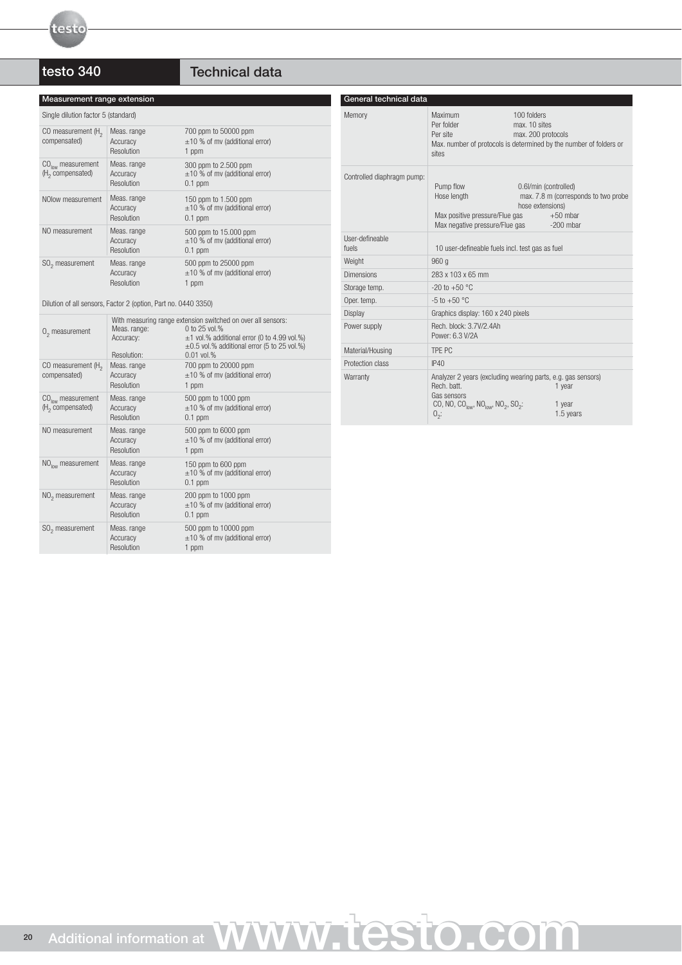# testo 340 Technical data

| Measurement range extension                                    |                                                                                                                                                                  |                                                                           | General technical data     |
|----------------------------------------------------------------|------------------------------------------------------------------------------------------------------------------------------------------------------------------|---------------------------------------------------------------------------|----------------------------|
| Single dilution factor 5 (standard)                            |                                                                                                                                                                  |                                                                           | Memory                     |
| CO measurement $(H_2)$<br>compensated)                         | Meas. range<br>Accuracy<br><b>Resolution</b>                                                                                                                     | 700 ppm to 50000 ppm<br>$\pm 10$ % of mv (additional error)<br>1 ppm      |                            |
| $COlow$ measurement<br>$(H2$ compensated)                      | Meas. range<br>Accuracy<br><b>Resolution</b>                                                                                                                     | 300 ppm to 2.500 ppm<br>$\pm 10$ % of mv (additional error)<br>$0.1$ ppm  | Controlled diaphragm pump: |
| NOlow measurement                                              | Meas. range<br>Accuracy<br><b>Resolution</b>                                                                                                                     | 150 ppm to 1.500 ppm<br>$\pm 10$ % of mv (additional error)<br>$0.1$ ppm  |                            |
| NO measurement                                                 | Meas. range<br>Accuracy<br>Resolution                                                                                                                            | 500 ppm to 15.000 ppm<br>$\pm 10$ % of mv (additional error)<br>$0.1$ ppm | User-defineable<br>fuels   |
| SO <sub>2</sub> measurement                                    | Meas. range                                                                                                                                                      | 500 ppm to 25000 ppm                                                      | Weight                     |
|                                                                | Accuracy                                                                                                                                                         | $\pm 10$ % of mv (additional error)<br>1 ppm                              | <b>Dimensions</b>          |
|                                                                | <b>Resolution</b>                                                                                                                                                |                                                                           | Storage temp.              |
| Dilution of all sensors, Factor 2 (option, Part no. 0440 3350) |                                                                                                                                                                  |                                                                           | Oper. temp.                |
|                                                                |                                                                                                                                                                  |                                                                           | Display                    |
| $02$ measurement                                               | With measuring range extension switched on over all sensors:<br>Meas. range:<br>0 to $25$ vol.%<br>$\pm$ 1 vol.% additional error (0 to 4.99 vol.%)<br>Accuracy: |                                                                           | Power supply               |
|                                                                | Donalution:                                                                                                                                                      | $\pm 0.5$ vol.% additional error (5 to 25 vol.%)<br>$0.01$ yol $0/$       | Material/Housing           |

| General tecnnical data     |                                                                                                                                                                                                    |                                                                                                                          |
|----------------------------|----------------------------------------------------------------------------------------------------------------------------------------------------------------------------------------------------|--------------------------------------------------------------------------------------------------------------------------|
| Memory                     | Maximum<br>Per folder<br>Per site<br>sites                                                                                                                                                         | 100 folders<br>max. 10 sites<br>max. 200 protocols<br>Max, number of protocols is determined by the number of folders or |
| Controlled diaphragm pump: | Pump flow<br>Hose length<br>Max positive pressure/Flue gas<br>Max negative pressure/Flue gas                                                                                                       | 0.6l/min (controlled)<br>max. 7.8 m (corresponds to two probe<br>hose extensions)<br>$+50$ mbar<br>$-200$ mbar           |
| User-defineable<br>fuels   | 10 user-defineable fuels incl. test gas as fuel                                                                                                                                                    |                                                                                                                          |
| Weight                     | 960 <sub>a</sub>                                                                                                                                                                                   |                                                                                                                          |
| <b>Dimensions</b>          | 283 x 103 x 65 mm                                                                                                                                                                                  |                                                                                                                          |
| Storage temp.              | $-20$ to $+50$ °C                                                                                                                                                                                  |                                                                                                                          |
| Oper. temp.                | $-5$ to $+50$ °C                                                                                                                                                                                   |                                                                                                                          |
| Display                    | Graphics display: 160 x 240 pixels                                                                                                                                                                 |                                                                                                                          |
| Power supply               | Rech. block: 3.7V/2.4Ah<br>Power: 6.3 V/2A                                                                                                                                                         |                                                                                                                          |
| Material/Housing           | TPF PC                                                                                                                                                                                             |                                                                                                                          |
| Protection class           | IP40                                                                                                                                                                                               |                                                                                                                          |
| Warranty                   | Analyzer 2 years (excluding wearing parts, e.g. gas sensors)<br>Rech. batt.<br>Gas sensors<br>CO, NO, CO <sub>low</sub> , NO <sub>low</sub> , NO <sub>2</sub> , SO <sub>2</sub> :<br>$0_{\circ}$ : | 1 year<br>1 year<br>1.5 years                                                                                            |

| $02$ measurement                                    | Meas. range:<br>Accuracy:<br>Resolution:     | With measuring range extension switched on over all sensors:<br>0 to 25 vol.%<br>$\pm$ 1 vol.% additional error (0 to 4.99 vol.%)<br>$\pm 0.5$ vol.% additional error (5 to 25 vol.%)<br>$0.01$ vol.% |
|-----------------------------------------------------|----------------------------------------------|-------------------------------------------------------------------------------------------------------------------------------------------------------------------------------------------------------|
| CO measurement $(H_2)$<br>compensated)              | Meas. range<br>Accuracy<br>Resolution        | 700 ppm to 20000 ppm<br>$\pm 10$ % of mv (additional error)<br>1 ppm                                                                                                                                  |
| $COlow$ measurement<br>(H <sub>2</sub> compensated) | Meas. range<br>Accuracy<br><b>Resolution</b> | 500 ppm to 1000 ppm<br>$\pm 10$ % of mv (additional error)<br>$0.1$ ppm                                                                                                                               |
| NO measurement                                      | Meas. range<br>Accuracy<br>Resolution        | 500 ppm to 6000 ppm<br>$\pm 10$ % of mv (additional error)<br>1 ppm                                                                                                                                   |
| $NOlow$ measurement                                 | Meas. range<br>Accuracy<br>Resolution        | 150 ppm to 600 ppm<br>$\pm 10$ % of mv (additional error)<br>$0.1$ ppm                                                                                                                                |
| $NO2$ measurement                                   | Meas. range<br>Accuracy<br>Resolution        | 200 ppm to 1000 ppm<br>$\pm 10$ % of mv (additional error)<br>$0.1$ ppm                                                                                                                               |
| SO <sub>2</sub> measurement                         | Meas. range<br>Accuracy<br>Resolution        | 500 ppm to 10000 ppm<br>$\pm 10$ % of mv (additional error)<br>1 ppm                                                                                                                                  |